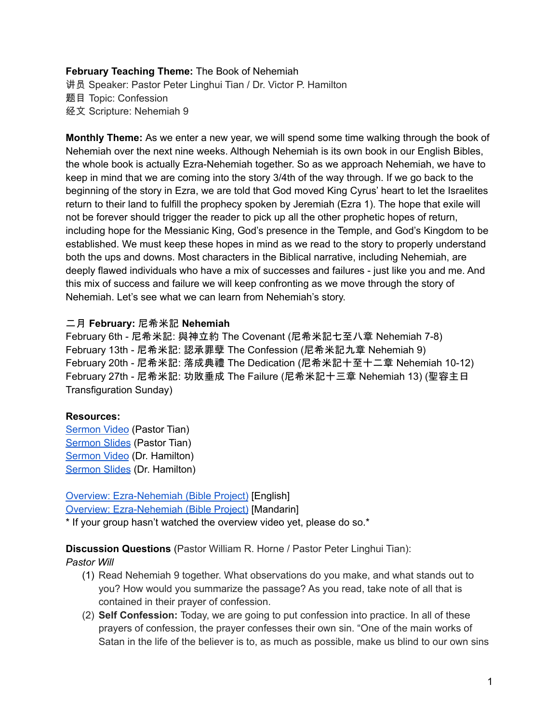### **February Teaching Theme:** The Book of Nehemiah

讲员 Speaker: Pastor Peter Linghui Tian / Dr. Victor P. Hamilton 题目 Topic: Confession 经文 Scripture: Nehemiah 9

**Monthly Theme:** As we enter a new year, we will spend some time walking through the book of Nehemiah over the next nine weeks. Although Nehemiah is its own book in our English Bibles, the whole book is actually Ezra-Nehemiah together. So as we approach Nehemiah, we have to keep in mind that we are coming into the story 3/4th of the way through. If we go back to the beginning of the story in Ezra, we are told that God moved King Cyrus' heart to let the Israelites return to their land to fulfill the prophecy spoken by Jeremiah (Ezra 1). The hope that exile will not be forever should trigger the reader to pick up all the other prophetic hopes of return, including hope for the Messianic King, God's presence in the Temple, and God's Kingdom to be established. We must keep these hopes in mind as we read to the story to properly understand both the ups and downs. Most characters in the Biblical narrative, including Nehemiah, are deeply flawed individuals who have a mix of successes and failures - just like you and me. And this mix of success and failure we will keep confronting as we move through the story of Nehemiah. Let's see what we can learn from Nehemiah's story.

### 二月 **February:** 尼希米記 **Nehemiah**

February 6th - 尼希米記: 與神立約 The Covenant (尼希米記七至八章 Nehemiah 7-8) February 13th - 尼希米記: 認承罪孽 The Confession (尼希米記九章 Nehemiah 9) February 20th - 尼希米記: 落成典禮 The Dedication (尼希米記十至十二章 Nehemiah 10-12) February 27th - 尼希米記: 功敗垂成 The Failure (尼希米記十三章 Nehemiah 13) (聖容主日 Transfiguration Sunday)

### **Resources:**

[Sermon](https://youtu.be/J_2nQmgdYRo?t=3062) Video (Pastor Tian) [Sermon](https://docs.google.com/presentation/d/1csNPPppJ1XMiys5W6iL7oQBsIw2yAnWH/edit?usp=sharing&ouid=111022305003760555164&rtpof=true&sd=true) Slides (Pastor Tian) [Sermon](https://youtu.be/3ed1v2NThbs?t=1928) Video (Dr. Hamilton) [Sermon](https://docs.google.com/presentation/d/1UOOrf5hzPuKoyGtNh0mR0b5ZHCDqq_DMiVg9Yg-L2-U/edit?usp=sharing) Slides (Dr. Hamilton)

Overview: [Ezra-Nehemiah](https://bibleproject.com/explore/video/ezra-nehemiah/) (Bible Project) [English] Overview: [Ezra-Nehemiah](https://www.youtube.com/watch?v=S4pg2h8DOM4&list=PLE-R0uydm0uN0xKD3tw0aheiQojlf1JB1&index=37) (Bible Project) [Mandarin]

\* If your group hasn't watched the overview video yet, please do so.\*

**Discussion Questions** (Pastor William R. Horne / Pastor Peter Linghui Tian):

*Pastor Will*

- (1) Read Nehemiah 9 together. What observations do you make, and what stands out to you? How would you summarize the passage? As you read, take note of all that is contained in their prayer of confession.
- (2) **Self Confession:** Today, we are going to put confession into practice. In all of these prayers of confession, the prayer confesses their own sin. "One of the main works of Satan in the life of the believer is to, as much as possible, make us blind to our own sins